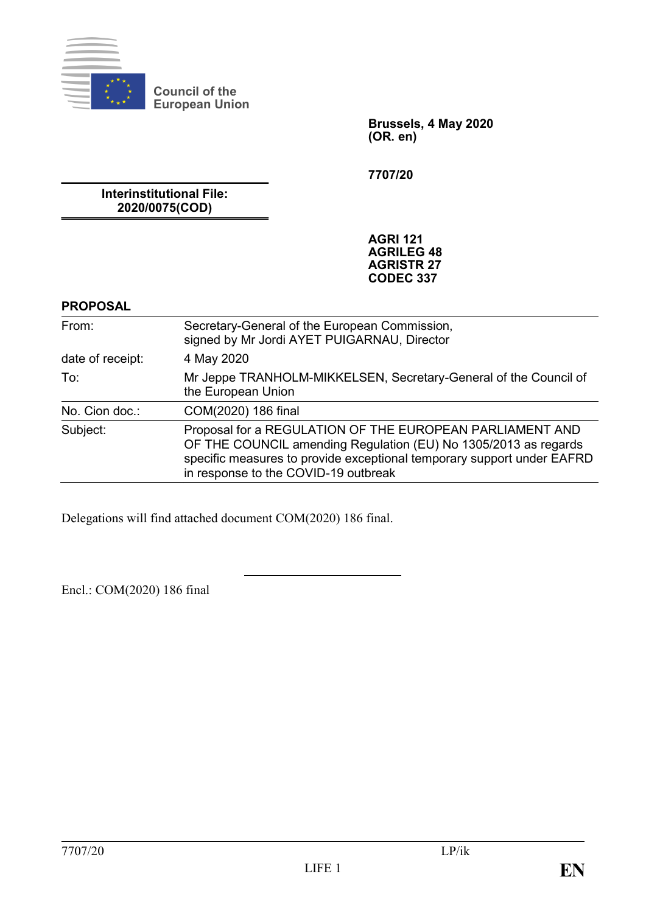

**Council of the European Union**

> **Brussels, 4 May 2020 (OR. en)**

**7707/20**

**Interinstitutional File: 2020/0075(COD)**

> **AGRI 121 AGRILEG 48 AGRISTR 27 CODEC 337**

#### **PROPOSAL**

| From:            | Secretary-General of the European Commission,<br>signed by Mr Jordi AYET PUIGARNAU, Director                                                                                                                                                  |
|------------------|-----------------------------------------------------------------------------------------------------------------------------------------------------------------------------------------------------------------------------------------------|
| date of receipt: | 4 May 2020                                                                                                                                                                                                                                    |
| To:              | Mr Jeppe TRANHOLM-MIKKELSEN, Secretary-General of the Council of<br>the European Union                                                                                                                                                        |
| No. Cion doc.:   | COM(2020) 186 final                                                                                                                                                                                                                           |
| Subject:         | Proposal for a REGULATION OF THE EUROPEAN PARLIAMENT AND<br>OF THE COUNCIL amending Regulation (EU) No 1305/2013 as regards<br>specific measures to provide exceptional temporary support under EAFRD<br>in response to the COVID-19 outbreak |

Delegations will find attached document COM(2020) 186 final.

Encl.: COM(2020) 186 final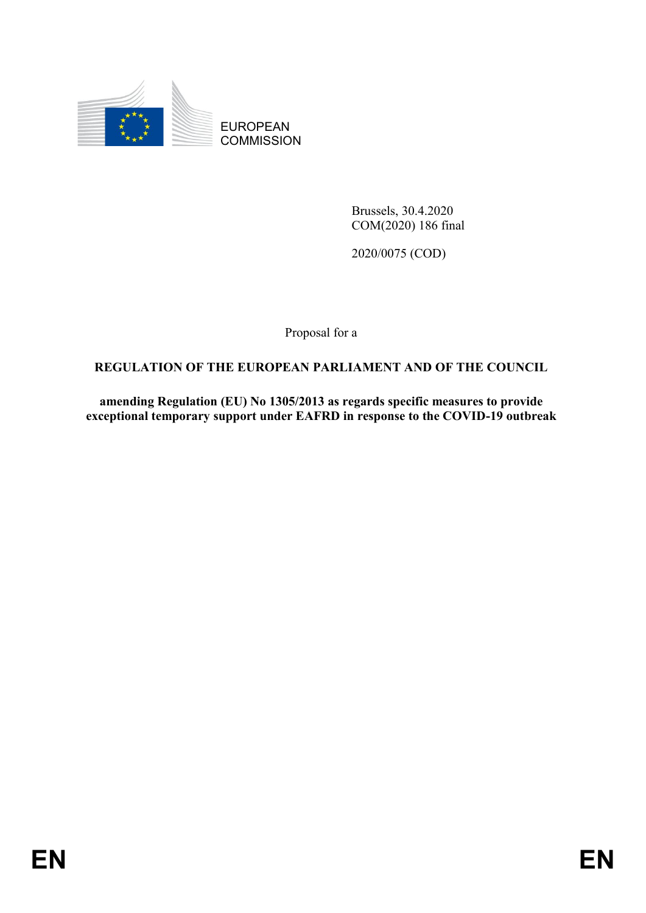

EUROPEAN **COMMISSION** 

> Brussels, 30.4.2020 COM(2020) 186 final

2020/0075 (COD)

Proposal for a

## **REGULATION OF THE EUROPEAN PARLIAMENT AND OF THE COUNCIL**

**amending Regulation (EU) No 1305/2013 as regards specific measures to provide exceptional temporary support under EAFRD in response to the COVID-19 outbreak**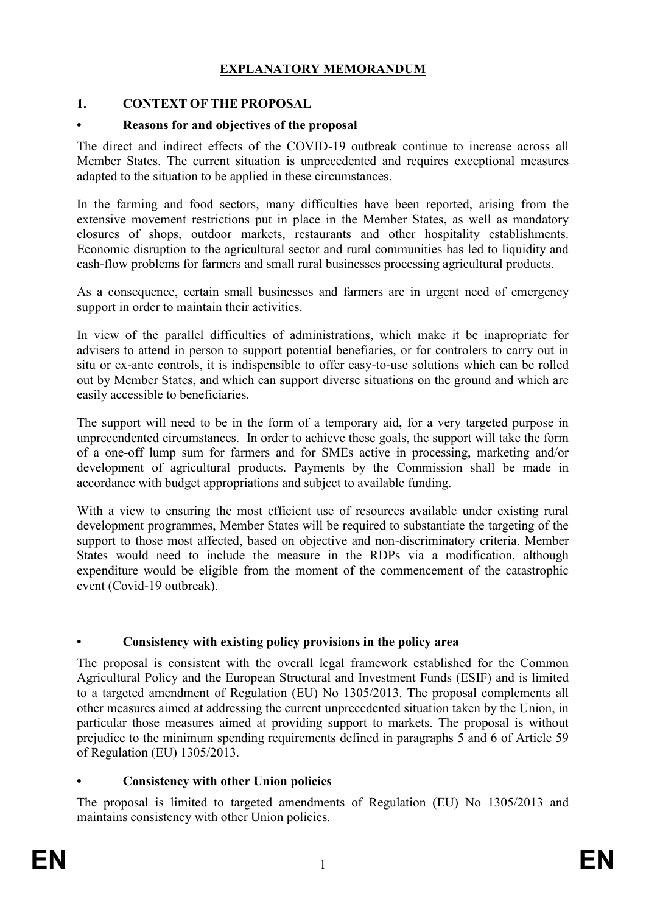## **EXPLANATORY MEMORANDUM**

#### **1. CONTEXT OF THE PROPOSAL**

#### **• Reasons for and objectives of the proposal**

The direct and indirect effects of the COVID-19 outbreak continue to increase across all Member States. The current situation is unprecedented and requires exceptional measures adapted to the situation to be applied in these circumstances.

In the farming and food sectors, many difficulties have been reported, arising from the extensive movement restrictions put in place in the Member States, as well as mandatory closures of shops, outdoor markets, restaurants and other hospitality establishments. Economic disruption to the agricultural sector and rural communities has led to liquidity and cash-flow problems for farmers and small rural businesses processing agricultural products.

As a consequence, certain small businesses and farmers are in urgent need of emergency support in order to maintain their activities.

In view of the parallel difficulties of administrations, which make it be inapropriate for advisers to attend in person to support potential benefiaries, or for controlers to carry out in situ or ex-ante controls, it is indispensible to offer easy-to-use solutions which can be rolled out by Member States, and which can support diverse situations on the ground and which are easily accessible to beneficiaries.

The support will need to be in the form of a temporary aid, for a very targeted purpose in unprecendented circumstances. In order to achieve these goals, the support will take the form of a one-off lump sum for farmers and for SMEs active in processing, marketing and/or development of agricultural products. Payments by the Commission shall be made in accordance with budget appropriations and subject to available funding.

With a view to ensuring the most efficient use of resources available under existing rural development programmes, Member States will be required to substantiate the targeting of the support to those most affected, based on objective and non-discriminatory criteria. Member States would need to include the measure in the RDPs via a modification, although expenditure would be eligible from the moment of the commencement of the catastrophic event (Covid-19 outbreak).

#### **• Consistency with existing policy provisions in the policy area**

The proposal is consistent with the overall legal framework established for the Common Agricultural Policy and the European Structural and Investment Funds (ESIF) and is limited to a targeted amendment of Regulation (EU) No 1305/2013. The proposal complements all other measures aimed at addressing the current unprecedented situation taken by the Union, in particular those measures aimed at providing support to markets. The proposal is without prejudice to the minimum spending requirements defined in paragraphs 5 and 6 of Article 59 of Regulation (EU) 1305/2013.

#### **• Consistency with other Union policies**

The proposal is limited to targeted amendments of Regulation (EU) No 1305/2013 and maintains consistency with other Union policies.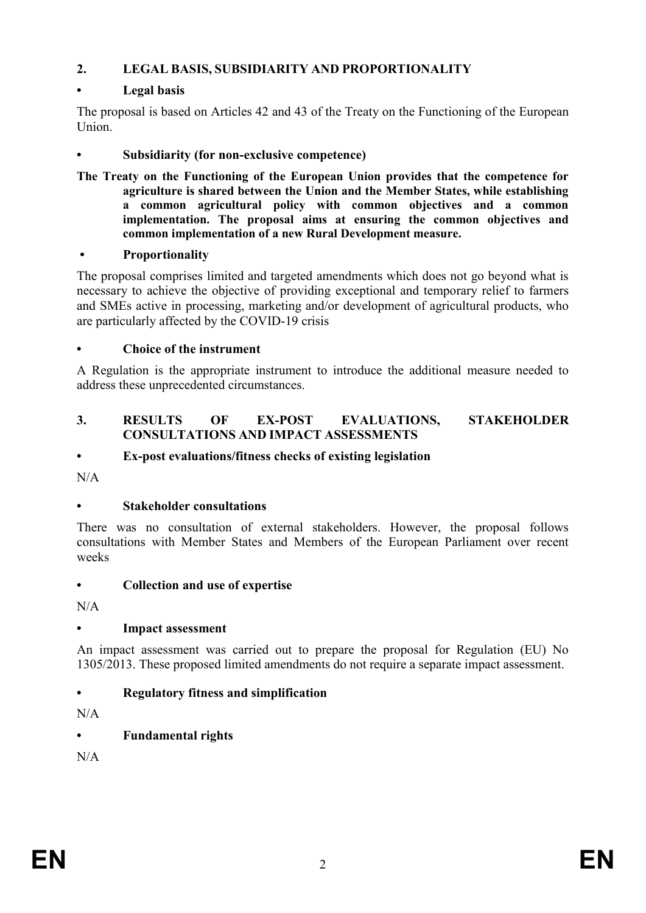## **2. LEGAL BASIS, SUBSIDIARITY AND PROPORTIONALITY**

## **• Legal basis**

The proposal is based on Articles 42 and 43 of the Treaty on the Functioning of the European Union.

#### **• Subsidiarity (for non-exclusive competence)**

**The Treaty on the Functioning of the European Union provides that the competence for agriculture is shared between the Union and the Member States, while establishing a common agricultural policy with common objectives and a common implementation. The proposal aims at ensuring the common objectives and common implementation of a new Rural Development measure.** 

#### **• Proportionality**

The proposal comprises limited and targeted amendments which does not go beyond what is necessary to achieve the objective of providing exceptional and temporary relief to farmers and SMEs active in processing, marketing and/or development of agricultural products, who are particularly affected by the COVID-19 crisis

#### **• Choice of the instrument**

A Regulation is the appropriate instrument to introduce the additional measure needed to address these unprecedented circumstances.

#### **3. RESULTS OF EX-POST EVALUATIONS, STAKEHOLDER CONSULTATIONS AND IMPACT ASSESSMENTS**

#### **• Ex-post evaluations/fitness checks of existing legislation**

N/A

#### **• Stakeholder consultations**

There was no consultation of external stakeholders. However, the proposal follows consultations with Member States and Members of the European Parliament over recent weeks

#### **• Collection and use of expertise**

 $N/A$ 

#### **• Impact assessment**

An impact assessment was carried out to prepare the proposal for Regulation (EU) No 1305/2013. These proposed limited amendments do not require a separate impact assessment.

## **• Regulatory fitness and simplification**

 $N/A$ 

## **• Fundamental rights**

 $N/A$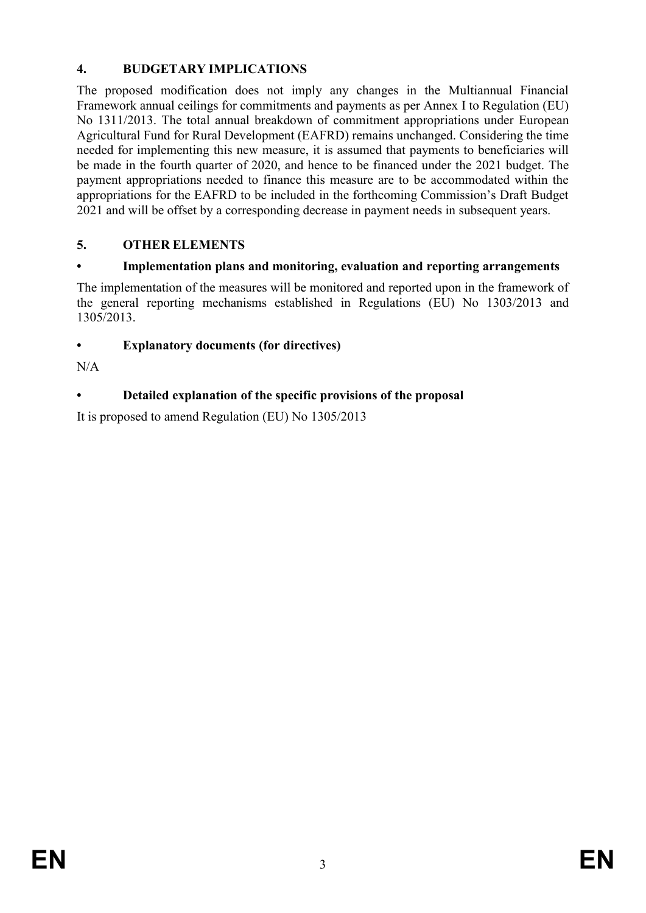## **4. BUDGETARY IMPLICATIONS**

The proposed modification does not imply any changes in the Multiannual Financial Framework annual ceilings for commitments and payments as per Annex I to Regulation (EU) No 1311/2013. The total annual breakdown of commitment appropriations under European Agricultural Fund for Rural Development (EAFRD) remains unchanged. Considering the time needed for implementing this new measure, it is assumed that payments to beneficiaries will be made in the fourth quarter of 2020, and hence to be financed under the 2021 budget. The payment appropriations needed to finance this measure are to be accommodated within the appropriations for the EAFRD to be included in the forthcoming Commission's Draft Budget 2021 and will be offset by a corresponding decrease in payment needs in subsequent years.

# **5. OTHER ELEMENTS**

## **• Implementation plans and monitoring, evaluation and reporting arrangements**

The implementation of the measures will be monitored and reported upon in the framework of the general reporting mechanisms established in Regulations (EU) No 1303/2013 and 1305/2013.

# **• Explanatory documents (for directives)**

N/A

# **• Detailed explanation of the specific provisions of the proposal**

It is proposed to amend Regulation (EU) No 1305/2013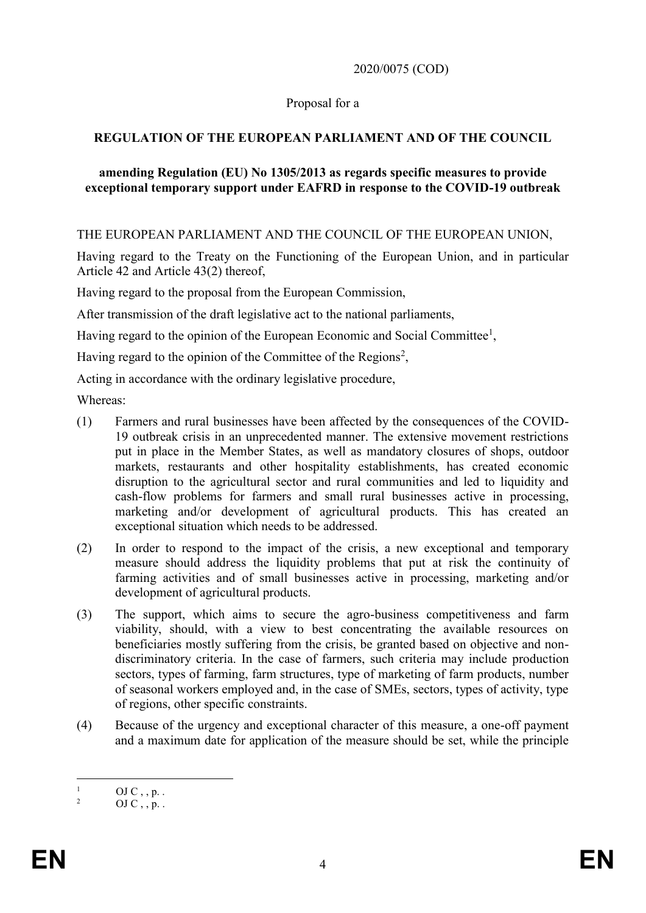2020/0075 (COD)

#### Proposal for a

## **REGULATION OF THE EUROPEAN PARLIAMENT AND OF THE COUNCIL**

#### **amending Regulation (EU) No 1305/2013 as regards specific measures to provide exceptional temporary support under EAFRD in response to the COVID-19 outbreak**

#### THE EUROPEAN PARLIAMENT AND THE COUNCIL OF THE EUROPEAN UNION,

Having regard to the Treaty on the Functioning of the European Union, and in particular Article 42 and Article 43(2) thereof,

Having regard to the proposal from the European Commission,

After transmission of the draft legislative act to the national parliaments,

Having regard to the opinion of the European Economic and Social Committee<sup>1</sup>,

Having regard to the opinion of the Committee of the Regions<sup>2</sup>,

Acting in accordance with the ordinary legislative procedure,

Whereas:

- (1) Farmers and rural businesses have been affected by the consequences of the COVID-19 outbreak crisis in an unprecedented manner. The extensive movement restrictions put in place in the Member States, as well as mandatory closures of shops, outdoor markets, restaurants and other hospitality establishments, has created economic disruption to the agricultural sector and rural communities and led to liquidity and cash-flow problems for farmers and small rural businesses active in processing, marketing and/or development of agricultural products. This has created an exceptional situation which needs to be addressed.
- (2) In order to respond to the impact of the crisis, a new exceptional and temporary measure should address the liquidity problems that put at risk the continuity of farming activities and of small businesses active in processing, marketing and/or development of agricultural products.
- (3) The support, which aims to secure the agro-business competitiveness and farm viability, should, with a view to best concentrating the available resources on beneficiaries mostly suffering from the crisis, be granted based on objective and nondiscriminatory criteria. In the case of farmers, such criteria may include production sectors, types of farming, farm structures, type of marketing of farm products, number of seasonal workers employed and, in the case of SMEs, sectors, types of activity, type of regions, other specific constraints.
- (4) Because of the urgency and exceptional character of this measure, a one-off payment and a maximum date for application of the measure should be set, while the principle

 $\mathbf{1}$  $\frac{1}{2}$  OJ C, , p. .

 $OJ C \ldots p$ .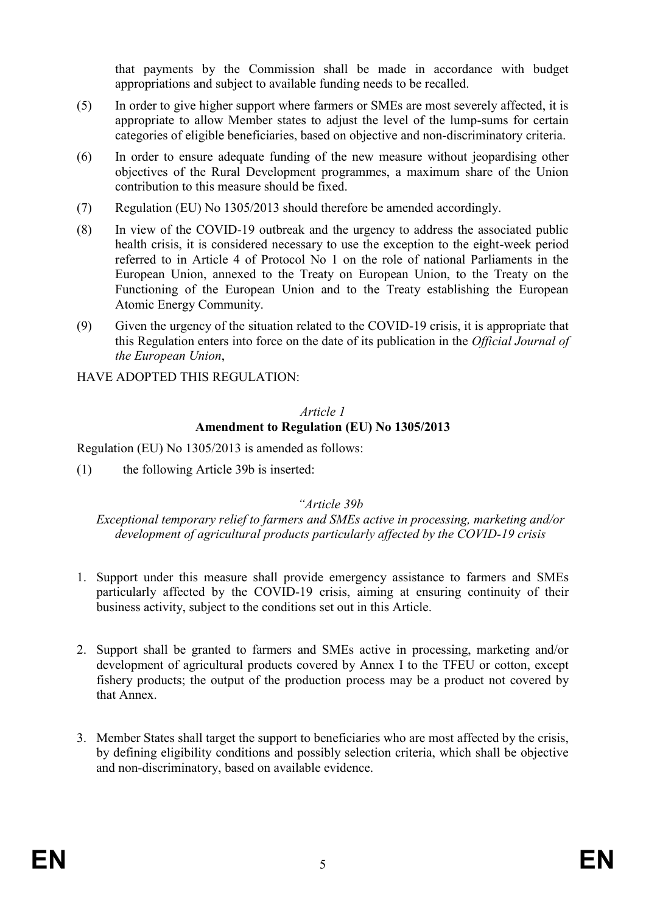that payments by the Commission shall be made in accordance with budget appropriations and subject to available funding needs to be recalled.

- (5) In order to give higher support where farmers or SMEs are most severely affected, it is appropriate to allow Member states to adjust the level of the lump-sums for certain categories of eligible beneficiaries, based on objective and non-discriminatory criteria.
- (6) In order to ensure adequate funding of the new measure without jeopardising other objectives of the Rural Development programmes, a maximum share of the Union contribution to this measure should be fixed.
- (7) Regulation (EU) No 1305/2013 should therefore be amended accordingly.
- (8) In view of the COVID-19 outbreak and the urgency to address the associated public health crisis, it is considered necessary to use the exception to the eight-week period referred to in Article 4 of Protocol No 1 on the role of national Parliaments in the European Union, annexed to the Treaty on European Union, to the Treaty on the Functioning of the European Union and to the Treaty establishing the European Atomic Energy Community.
- (9) Given the urgency of the situation related to the COVID-19 crisis, it is appropriate that this Regulation enters into force on the date of its publication in the *Official Journal of the European Union*,

HAVE ADOPTED THIS REGULATION:

#### *Article 1* **Amendment to Regulation (EU) No 1305/2013**

Regulation (EU) No 1305/2013 is amended as follows:

(1) the following Article 39b is inserted:

## *"Article 39b*

*Exceptional temporary relief to farmers and SMEs active in processing, marketing and/or development of agricultural products particularly affected by the COVID-19 crisis*

- 1. Support under this measure shall provide emergency assistance to farmers and SMEs particularly affected by the COVID-19 crisis, aiming at ensuring continuity of their business activity, subject to the conditions set out in this Article.
- 2. Support shall be granted to farmers and SMEs active in processing, marketing and/or development of agricultural products covered by Annex I to the TFEU or cotton, except fishery products; the output of the production process may be a product not covered by that Annex.
- 3. Member States shall target the support to beneficiaries who are most affected by the crisis, by defining eligibility conditions and possibly selection criteria, which shall be objective and non-discriminatory, based on available evidence.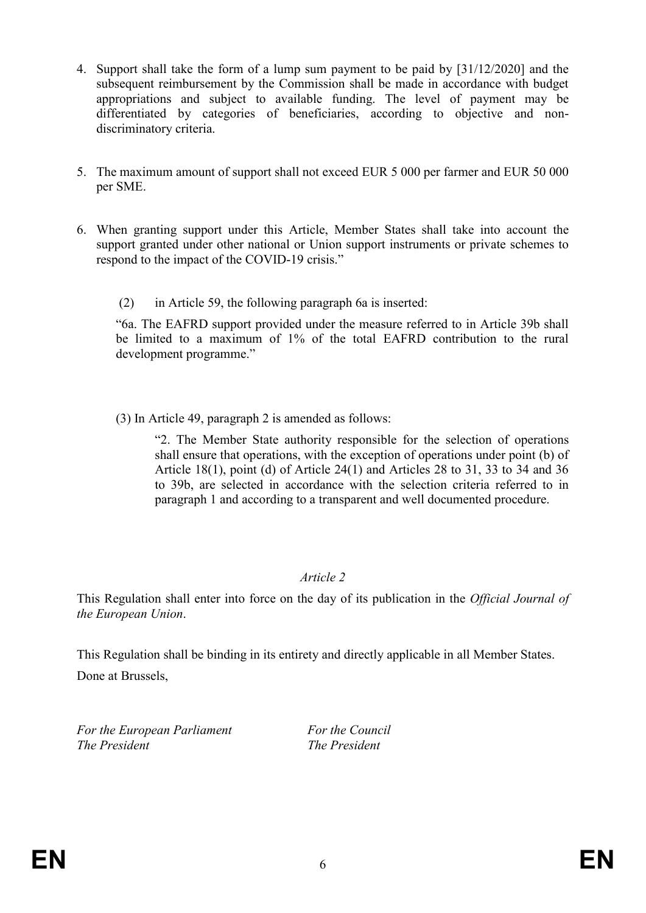- 4. Support shall take the form of a lump sum payment to be paid by [31/12/2020] and the subsequent reimbursement by the Commission shall be made in accordance with budget appropriations and subject to available funding. The level of payment may be differentiated by categories of beneficiaries, according to objective and nondiscriminatory criteria.
- 5. The maximum amount of support shall not exceed EUR 5 000 per farmer and EUR 50 000 per SME.
- 6. When granting support under this Article, Member States shall take into account the support granted under other national or Union support instruments or private schemes to respond to the impact of the COVID-19 crisis."
	- (2) in Article 59, the following paragraph 6a is inserted:

"6a. The EAFRD support provided under the measure referred to in Article 39b shall be limited to a maximum of 1% of the total EAFRD contribution to the rural development programme."

(3) In Article 49, paragraph 2 is amended as follows:

"2. The Member State authority responsible for the selection of operations shall ensure that operations, with the exception of operations under point (b) of Article 18(1), point (d) of Article 24(1) and Articles 28 to 31, 33 to 34 and 36 to 39b, are selected in accordance with the selection criteria referred to in paragraph 1 and according to a transparent and well documented procedure.

#### *Article 2*

This Regulation shall enter into force on the day of its publication in the *Official Journal of the European Union*.

This Regulation shall be binding in its entirety and directly applicable in all Member States.

Done at Brussels,

*For the European Parliament For the Council The President The President*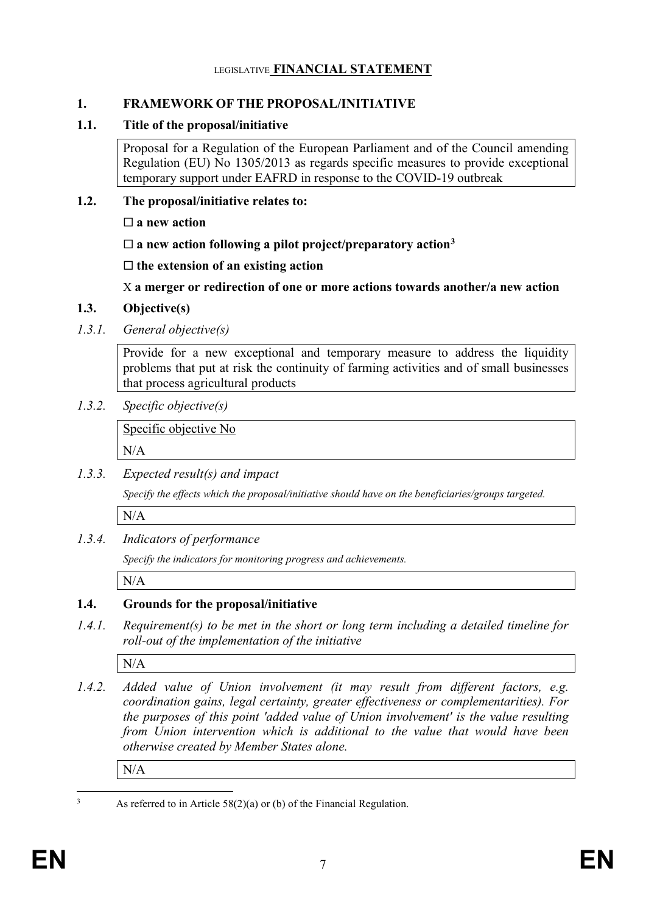#### LEGISLATIVE **FINANCIAL STATEMENT**

#### **1. FRAMEWORK OF THE PROPOSAL/INITIATIVE**

## **1.1. Title of the proposal/initiative**

Proposal for a Regulation of the European Parliament and of the Council amending Regulation (EU) No 1305/2013 as regards specific measures to provide exceptional temporary support under EAFRD in response to the COVID-19 outbreak

## **1.2. The proposal/initiative relates to:**

**a new action**

 $\square$  a new action following a pilot project/preparatory action<sup>3</sup>

**the extension of an existing action**

X **a merger or redirection of one or more actions towards another/a new action**

## **1.3. Objective(s)**

*1.3.1. General objective(s)*

Provide for a new exceptional and temporary measure to address the liquidity problems that put at risk the continuity of farming activities and of small businesses that process agricultural products

## *1.3.2. Specific objective(s)*

Specific objective No

N/A

*1.3.3. Expected result(s) and impact*

*Specify the effects which the proposal/initiative should have on the beneficiaries/groups targeted.*

N/A

## *1.3.4. Indicators of performance*

*Specify the indicators for monitoring progress and achievements.*

N/A

# **1.4. Grounds for the proposal/initiative**

*1.4.1. Requirement(s) to be met in the short or long term including a detailed timeline for roll-out of the implementation of the initiative*

N/A

*1.4.2. Added value of Union involvement (it may result from different factors, e.g. coordination gains, legal certainty, greater effectiveness or complementarities). For the purposes of this point 'added value of Union involvement' is the value resulting from Union intervention which is additional to the value that would have been otherwise created by Member States alone.*

N/A

 $\overline{a}$ 

As referred to in Article  $58(2)(a)$  or (b) of the Financial Regulation.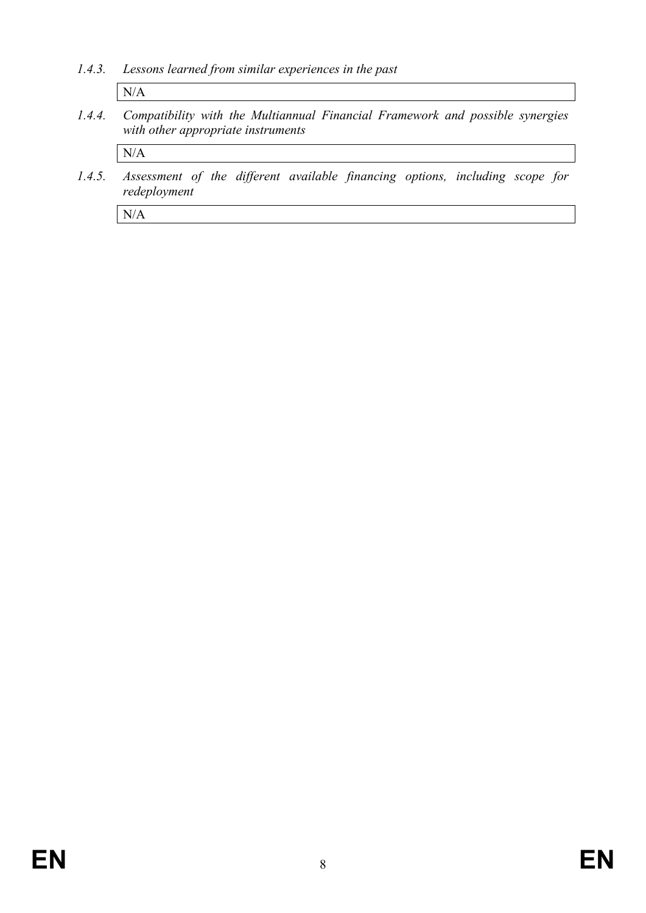*1.4.3. Lessons learned from similar experiences in the past*

N/A

*1.4.4. Compatibility with the Multiannual Financial Framework and possible synergies with other appropriate instruments*

N/A

*1.4.5. Assessment of the different available financing options, including scope for redeployment*

N/A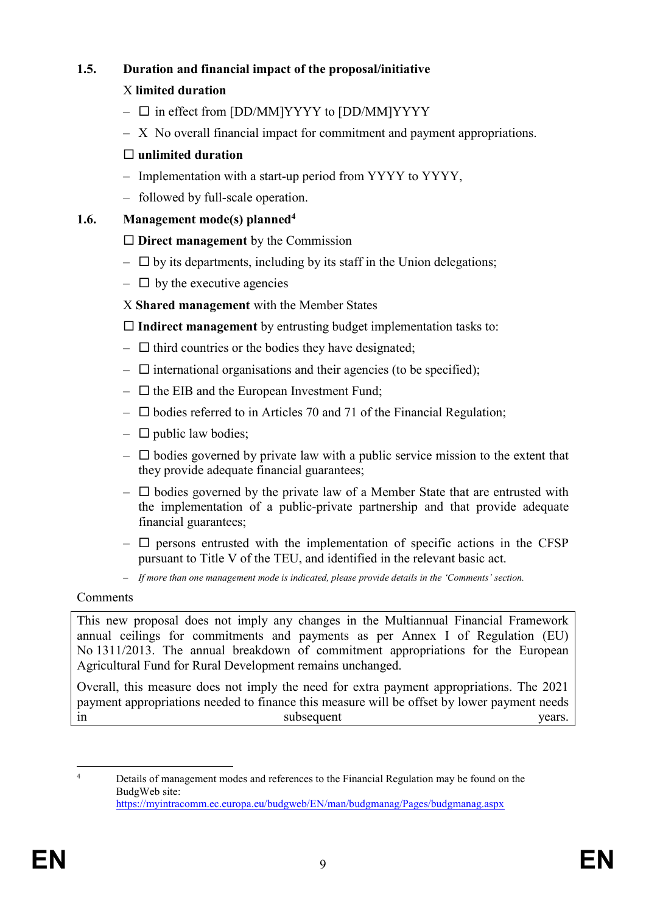# **1.5. Duration and financial impact of the proposal/initiative**

## X **limited duration**

- $\square$  in effect from [DD/MM]YYYY to [DD/MM]YYYY
- X No overall financial impact for commitment and payment appropriations.

## **unlimited duration**

- Implementation with a start-up period from YYYY to YYYY,
- followed by full-scale operation.

## **1.6. Management mode(s) planned<sup>4</sup>**

## **Direct management** by the Commission

- $\Box$  by its departments, including by its staff in the Union delegations;
- $\Box$  by the executive agencies
- X **Shared management** with the Member States

**Indirect management** by entrusting budget implementation tasks to:

- $\Box$  third countries or the bodies they have designated;
- $\Box$  international organisations and their agencies (to be specified);
- $\Box$  the EIB and the European Investment Fund;
- $\square$  bodies referred to in Articles 70 and 71 of the Financial Regulation;
- $\Box$  public law bodies;
- $\Box$  bodies governed by private law with a public service mission to the extent that they provide adequate financial guarantees;
- $\Box$  bodies governed by the private law of a Member State that are entrusted with the implementation of a public-private partnership and that provide adequate financial guarantees;
- $\Box$  persons entrusted with the implementation of specific actions in the CFSP pursuant to Title V of the TEU, and identified in the relevant basic act.
- *If more than one management mode is indicated, please provide details in the 'Comments' section.*

## Comments

This new proposal does not imply any changes in the Multiannual Financial Framework annual ceilings for commitments and payments as per Annex I of Regulation (EU) No 1311/2013. The annual breakdown of commitment appropriations for the European Agricultural Fund for Rural Development remains unchanged.

Overall, this measure does not imply the need for extra payment appropriations. The 2021 payment appropriations needed to finance this measure will be offset by lower payment needs in subsequent years.

 $\overline{A}$ Details of management modes and references to the Financial Regulation may be found on the BudgWeb site: <https://myintracomm.ec.europa.eu/budgweb/EN/man/budgmanag/Pages/budgmanag.aspx>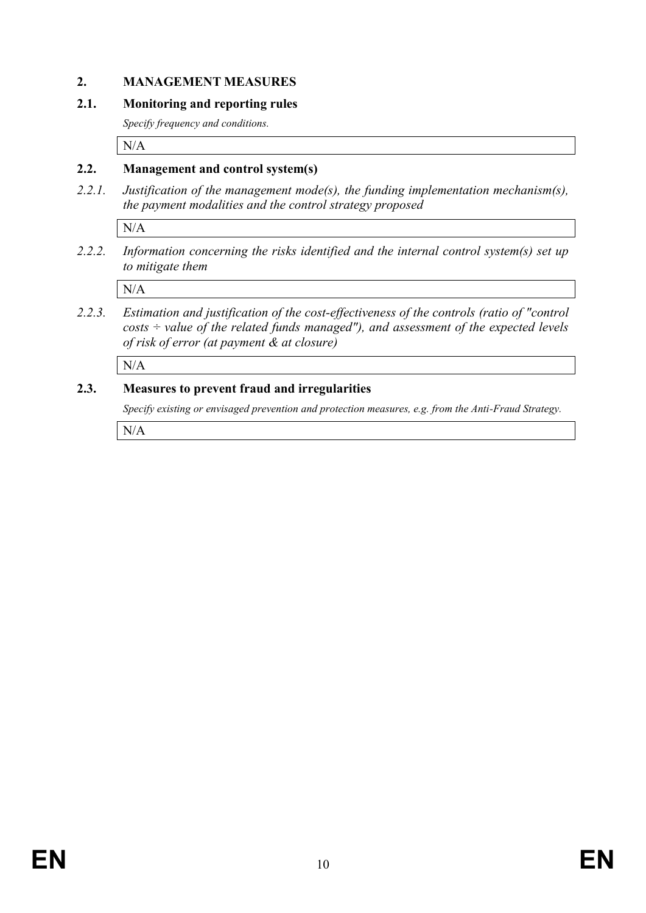#### **2. MANAGEMENT MEASURES**

#### **2.1. Monitoring and reporting rules**

*Specify frequency and conditions.*

N/A

#### **2.2. Management and control system(s)**

*2.2.1. Justification of the management mode(s), the funding implementation mechanism(s), the payment modalities and the control strategy proposed*

N/A

*2.2.2. Information concerning the risks identified and the internal control system(s) set up to mitigate them*

N/A

*2.2.3. Estimation and justification of the cost-effectiveness of the controls (ratio of "control costs ÷ value of the related funds managed"), and assessment of the expected levels of risk of error (at payment & at closure)* 

N/A

#### **2.3. Measures to prevent fraud and irregularities**

*Specify existing or envisaged prevention and protection measures, e.g. from the Anti-Fraud Strategy.*

N/A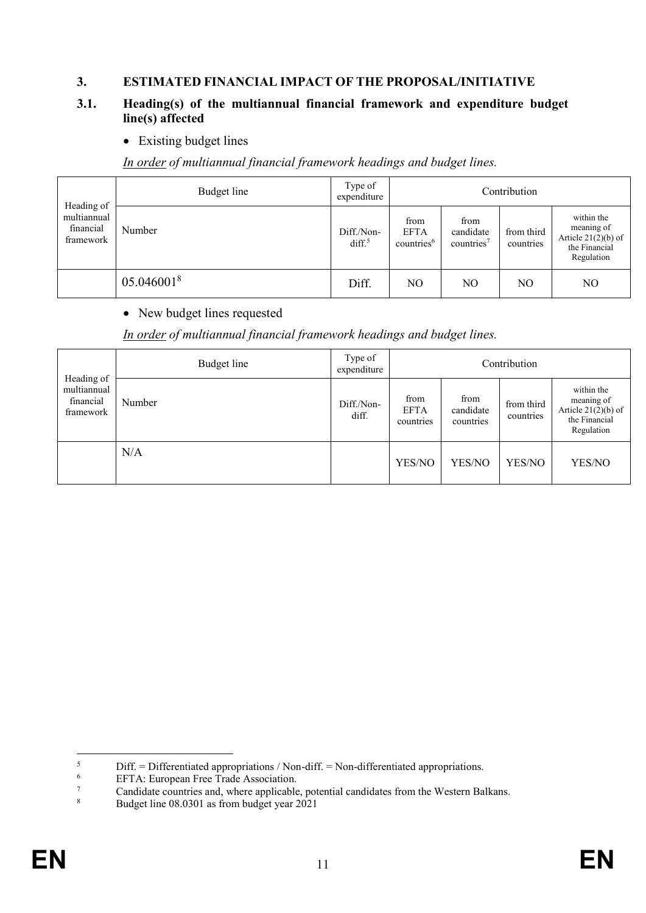#### **3. ESTIMATED FINANCIAL IMPACT OF THE PROPOSAL/INITIATIVE**

#### **3.1. Heading(s) of the multiannual financial framework and expenditure budget line(s) affected**

• Existing budget lines

*In order of multiannual financial framework headings and budget lines.*

| Heading of                            | Budget line | Type of<br>expenditure          |                                               |                                             | Contribution            |                                                                                  |
|---------------------------------------|-------------|---------------------------------|-----------------------------------------------|---------------------------------------------|-------------------------|----------------------------------------------------------------------------------|
| multiannual<br>financial<br>framework | Number      | Diff./Non-<br>diff <sup>5</sup> | from<br><b>EFTA</b><br>countries <sup>6</sup> | from<br>candidate<br>countries <sup>7</sup> | from third<br>countries | within the<br>meaning of<br>Article $21(2)(b)$ of<br>the Financial<br>Regulation |
|                                       | 05.0460018  | Diff.                           | N <sub>O</sub>                                | NO                                          | NO                      | NO                                                                               |

#### • New budget lines requested

*In order of multiannual financial framework headings and budget lines.*

| Heading of                            | Budget line   | Type of<br>expenditure | Contribution                     |                                |                         |                                                                                  |  |  |  |  |
|---------------------------------------|---------------|------------------------|----------------------------------|--------------------------------|-------------------------|----------------------------------------------------------------------------------|--|--|--|--|
| multiannual<br>financial<br>framework | Number<br>N/A | Diff./Non-<br>diff.    | from<br><b>EFTA</b><br>countries | from<br>candidate<br>countries | from third<br>countries | within the<br>meaning of<br>Article $21(2)(b)$ of<br>the Financial<br>Regulation |  |  |  |  |
|                                       |               |                        | YES/NO                           | YES/NO                         | YES/NO                  | YES/NO                                                                           |  |  |  |  |

 $\overline{\mathbf{5}}$  $5$  Diff. = Differentiated appropriations / Non-diff. = Non-differentiated appropriations.<br> $6$  EETA: European Free Trade Association

 $^{6}$  EFTA: European Free Trade Association.

 $\frac{7}{8}$  Candidate countries and, where applicable, potential candidates from the Western Balkans.<br>Budget line 08.0301 as from budget year 2021

<sup>8</sup> Budget line 08.0301 as from budget year 2021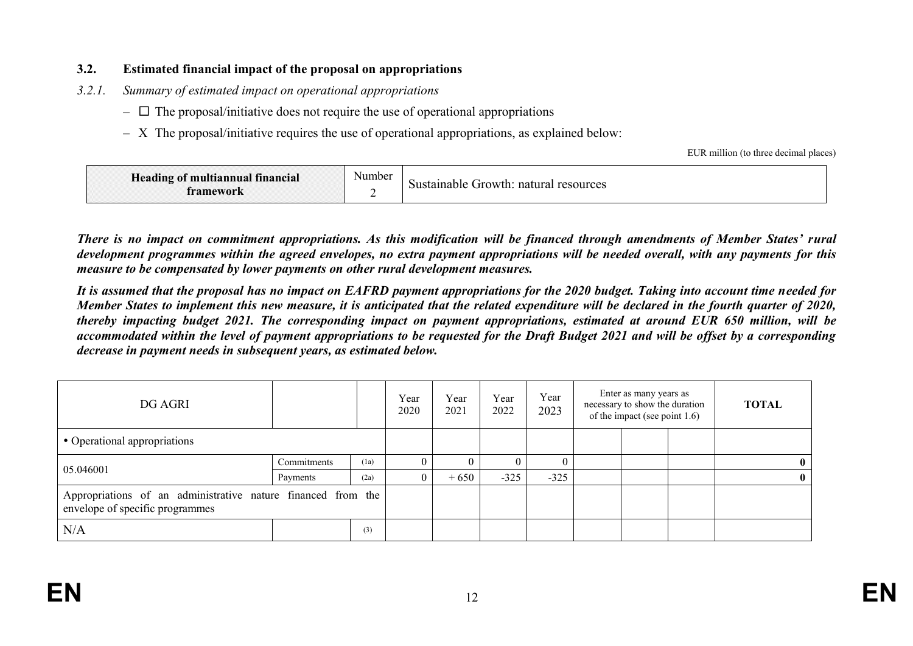#### **3.2. Estimated financial impact of the proposal on appropriations**

- *3.2.1. Summary of estimated impact on operational appropriations* 
	- $\overline{\phantom{a}}$  The proposal/initiative does not require the use of operational appropriations
	- X The proposal/initiative requires the use of operational appropriations, as explained below:

EUR million (to three decimal places)

| Heading of multiannual financial<br>tramework | . .<br>Number | natural<br>resources<br>Sustainable<br>.1rowth: |
|-----------------------------------------------|---------------|-------------------------------------------------|
|-----------------------------------------------|---------------|-------------------------------------------------|

*There is no impact on commitment appropriations. As this modification will be financed through amendments of Member States' rural development programmes within the agreed envelopes, no extra payment appropriations will be needed overall, with any payments for this measure to be compensated by lower payments on other rural development measures.* 

*It is assumed that the proposal has no impact on EAFRD payment appropriations for the 2020 budget. Taking into account time needed for Member States to implement this new measure, it is anticipated that the related expenditure will be declared in the fourth quarter of 2020, thereby impacting budget 2021. The corresponding impact on payment appropriations, estimated at around EUR 650 million, will be accommodated within the level of payment appropriations to be requested for the Draft Budget 2021 and will be offset by a corresponding decrease in payment needs in subsequent years, as estimated below.* 

| DG AGRI                                                                                         |             |      | Year<br>2020 | Year<br>2021 | Year<br>2022 | Year<br>2023 | Enter as many years as<br>necessary to show the duration<br>of the impact (see point 1.6) | <b>TOTAL</b> |  |
|-------------------------------------------------------------------------------------------------|-------------|------|--------------|--------------|--------------|--------------|-------------------------------------------------------------------------------------------|--------------|--|
| • Operational appropriations                                                                    |             |      |              |              |              |              |                                                                                           |              |  |
|                                                                                                 | Commitments | (1a) | $^{(1)}$     |              |              |              |                                                                                           |              |  |
| 05.046001                                                                                       | Payments    | (2a) |              | $+650$       | $-325$       | $-325$       |                                                                                           |              |  |
| Appropriations of an administrative nature financed from the<br>envelope of specific programmes |             |      |              |              |              |              |                                                                                           |              |  |
| N/A                                                                                             |             | (3)  |              |              |              |              |                                                                                           |              |  |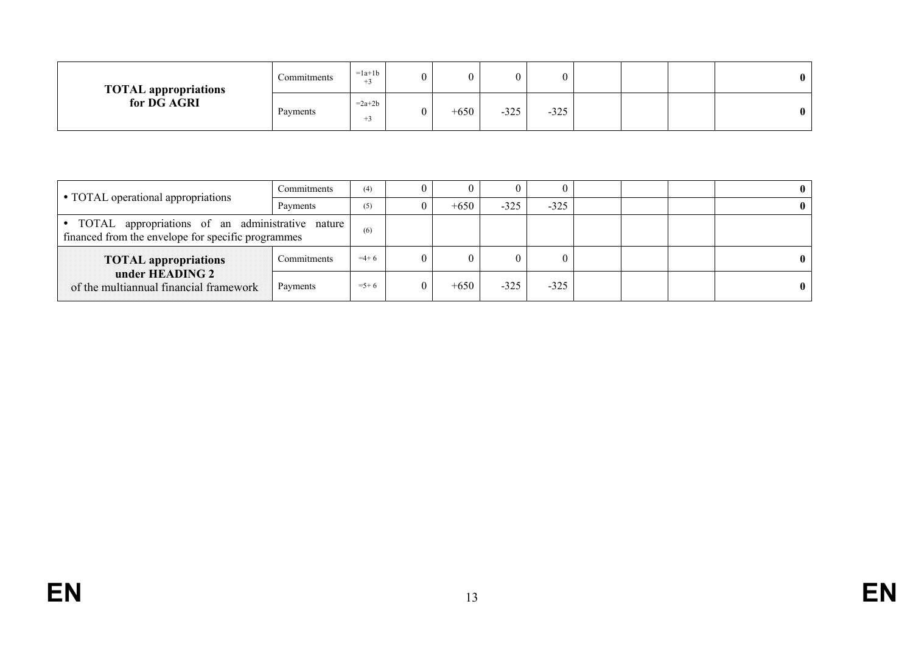| <b>TOTAL appropriations</b><br>for DG AGRI | Commitments | $=1a+1b$<br>$+4$ | 0 |        |        | 0      |  | $\mathbf{0}$ |
|--------------------------------------------|-------------|------------------|---|--------|--------|--------|--|--------------|
|                                            | Payments    | $=2a+2b$<br>$+1$ | 0 | $+650$ | $-325$ | $-325$ |  | $\mathbf{0}$ |

|                                                                                                            | Commitments | (4)     | 0              |        |        | 0      |  |  |
|------------------------------------------------------------------------------------------------------------|-------------|---------|----------------|--------|--------|--------|--|--|
| • TOTAL operational appropriations                                                                         | Payments    | (5)     | $\theta$       | $+650$ | $-325$ | $-325$ |  |  |
| · TOTAL appropriations of an administrative nature  <br>financed from the envelope for specific programmes | (6)         |         |                |        |        |        |  |  |
| <b>TOTAL appropriations</b>                                                                                | Commitments | $=4+6$  | $\overline{0}$ |        |        | 0      |  |  |
| under HEADING 2<br>of the multiannual financial framework                                                  | Payments    | $=$ 5+6 | $\overline{0}$ | $+650$ | $-325$ | $-325$ |  |  |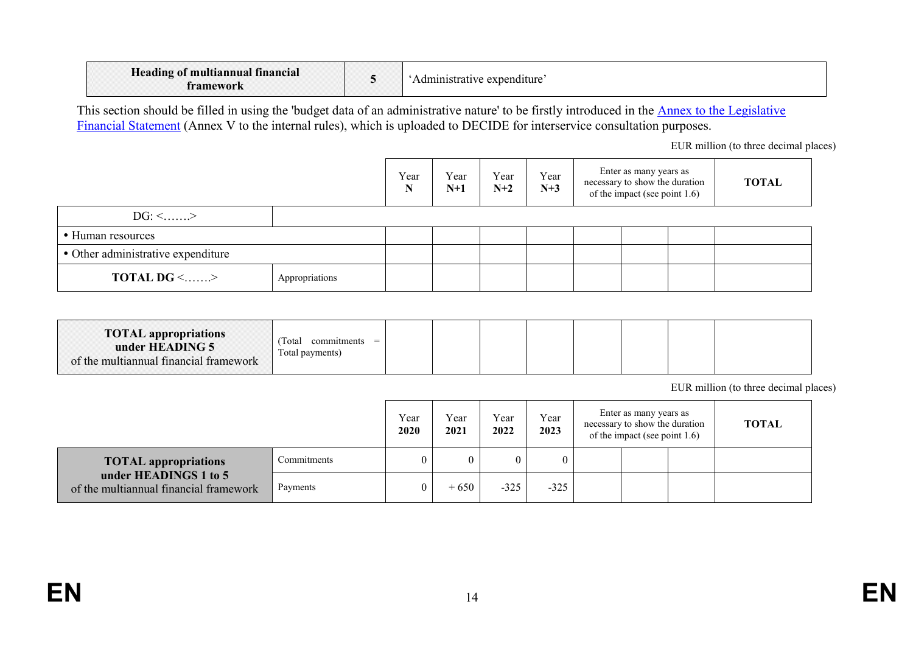| <b>CONTRACTOR</b><br>Heading of multiannual financial<br>tramework |  | expenditure<br>Administrative |
|--------------------------------------------------------------------|--|-------------------------------|
|--------------------------------------------------------------------|--|-------------------------------|

This section should be filled in using the 'budget data of an administrative nature' to be firstly introduced in the **Annex to the Legislative** [Financial Statement](https://myintracomm.ec.europa.eu/budgweb/EN/leg/internal/Documents/2016-5-legislative-financial-statement-ann-en.docx) (Annex V to the internal rules), which is uploaded to DECIDE for interservice consultation purposes.

EUR million (to three decimal places)

|                                            |  | Year<br>N | Year<br>$N+1$ | Year<br>$N+2$ | Year<br>$N+3$ | Enter as many years as<br>necessary to show the duration<br>of the impact (see point 1.6) | <b>TOTAL</b> |
|--------------------------------------------|--|-----------|---------------|---------------|---------------|-------------------------------------------------------------------------------------------|--------------|
| $DG: \leq$ >                               |  |           |               |               |               |                                                                                           |              |
| • Human resources                          |  |           |               |               |               |                                                                                           |              |
| • Other administrative expenditure         |  |           |               |               |               |                                                                                           |              |
| <b>TOTAL DG &lt;&gt;</b><br>Appropriations |  |           |               |               |               |                                                                                           |              |

| <b>TOTAL</b> appropriations<br>under HEADING 5<br>of the multiannual financial framework | Total<br>commitments<br>$=$<br>Total payments) |  |  |  |  |  |  |  |
|------------------------------------------------------------------------------------------|------------------------------------------------|--|--|--|--|--|--|--|
|------------------------------------------------------------------------------------------|------------------------------------------------|--|--|--|--|--|--|--|

EUR million (to three decimal places)

|                                                                 |             | Year<br>2020 | Year<br>2021 | Year<br>2022 | Year<br>2023 | Enter as many years as<br>necessary to show the duration<br>of the impact (see point $1.6$ ) | <b>TOTAL</b> |
|-----------------------------------------------------------------|-------------|--------------|--------------|--------------|--------------|----------------------------------------------------------------------------------------------|--------------|
| <b>TOTAL appropriations</b>                                     | Commitments |              |              |              | 0            |                                                                                              |              |
| under HEADINGS 1 to 5<br>of the multiannual financial framework | Payments    |              | $+650$       | $-325$       | $-325$       |                                                                                              |              |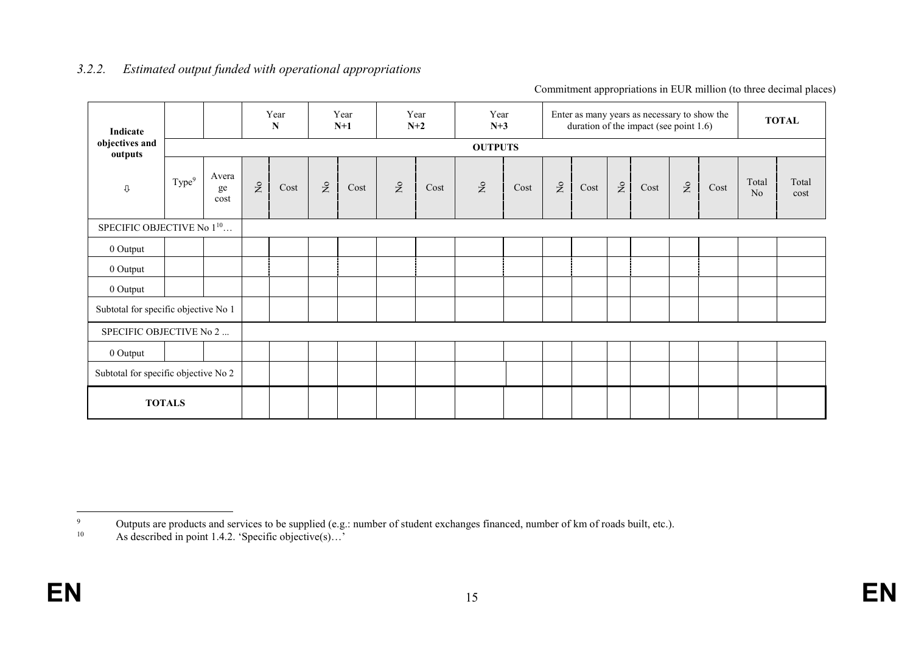| Indicate                              |                                      |                     |                               | Year<br>${\bf N}$ |                                    | Year<br>$N+1$ |           | Year<br>$N+2$ | Year<br>$N+3$                      |      |              |      |                           | Enter as many years as necessary to show the<br>duration of the impact (see point 1.6) |                                    |      |             | <b>TOTAL</b>  |
|---------------------------------------|--------------------------------------|---------------------|-------------------------------|-------------------|------------------------------------|---------------|-----------|---------------|------------------------------------|------|--------------|------|---------------------------|----------------------------------------------------------------------------------------|------------------------------------|------|-------------|---------------|
| objectives and<br>outputs             |                                      |                     |                               |                   |                                    |               |           |               | <b>OUTPUTS</b>                     |      |              |      |                           |                                                                                        |                                    |      |             |               |
| $\mathbb U$                           | Type <sup>9</sup>                    | Avera<br>ge<br>cost | $\rm \stackrel{\circ}{\rm X}$ | Cost              | $\rm \stackrel{\circ}{\mathbf{Z}}$ | Cost          | $\gtrsim$ | Cost          | $\rm \stackrel{\circ}{\mathbf{Z}}$ | Cost | $\mathsf{S}$ | Cost | $\mathsf{S}^{\mathsf{o}}$ | Cost                                                                                   | $\rm \stackrel{\circ}{\mathbf{Z}}$ | Cost | Total<br>No | Total<br>cost |
| SPECIFIC OBJECTIVE No 1 <sup>10</sup> |                                      |                     |                               |                   |                                    |               |           |               |                                    |      |              |      |                           |                                                                                        |                                    |      |             |               |
| 0 Output                              |                                      |                     |                               |                   |                                    |               |           |               |                                    |      |              |      |                           |                                                                                        |                                    |      |             |               |
| 0 Output                              |                                      |                     |                               |                   |                                    |               |           |               |                                    |      |              |      |                           |                                                                                        |                                    |      |             |               |
| 0 Output                              |                                      |                     |                               |                   |                                    |               |           |               |                                    |      |              |      |                           |                                                                                        |                                    |      |             |               |
| Subtotal for specific objective No 1  |                                      |                     |                               |                   |                                    |               |           |               |                                    |      |              |      |                           |                                                                                        |                                    |      |             |               |
| SPECIFIC OBJECTIVE No 2               |                                      |                     |                               |                   |                                    |               |           |               |                                    |      |              |      |                           |                                                                                        |                                    |      |             |               |
| 0 Output                              |                                      |                     |                               |                   |                                    |               |           |               |                                    |      |              |      |                           |                                                                                        |                                    |      |             |               |
|                                       | Subtotal for specific objective No 2 |                     |                               |                   |                                    |               |           |               |                                    |      |              |      |                           |                                                                                        |                                    |      |             |               |
|                                       | <b>TOTALS</b>                        |                     |                               |                   |                                    |               |           |               |                                    |      |              |      |                           |                                                                                        |                                    |      |             |               |

#### *3.2.2. Estimated output funded with operational appropriations*

Commitment appropriations in EUR million (to three decimal places)

 $\overline{9}$ Outputs are products and services to be supplied (e.g.: number of student exchanges financed, number of km of roads built, etc.).

<sup>&</sup>lt;sup>10</sup> As described in point 1.4.2. 'Specific objective(s)...'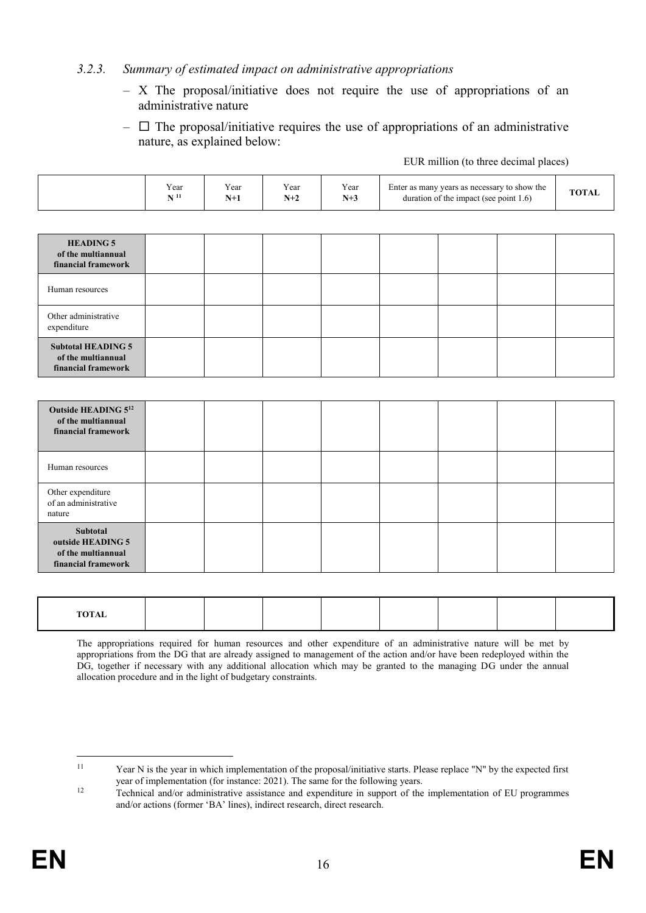#### *3.2.3. Summary of estimated impact on administrative appropriations*

- X The proposal/initiative does not require the use of appropriations of an administrative nature
- $\Box$  The proposal/initiative requires the use of appropriations of an administrative nature, as explained below:

EUR million (to three decimal places)

| Year<br>$\mathbf{N}$ $^{11}$ | Year<br>$N+1$ | Year<br>$N+2$ | Year<br>$N+3$ | Enter as many years as necessary to show the<br>duration of the impact (see point 1.6) |  |  | <b>TOTAL</b> |
|------------------------------|---------------|---------------|---------------|----------------------------------------------------------------------------------------|--|--|--------------|
|                              |               |               |               |                                                                                        |  |  |              |
|                              |               |               |               |                                                                                        |  |  |              |
|                              |               |               |               |                                                                                        |  |  |              |
|                              |               |               |               |                                                                                        |  |  |              |
|                              |               |               |               |                                                                                        |  |  |              |
|                              |               |               |               |                                                                                        |  |  |              |
|                              |               |               |               |                                                                                        |  |  |              |
|                              |               |               |               |                                                                                        |  |  |              |
|                              |               |               |               |                                                                                        |  |  |              |
|                              |               |               |               |                                                                                        |  |  |              |
|                              |               |               |               |                                                                                        |  |  |              |

| <b>TOTAL</b> |  |  |  |  |
|--------------|--|--|--|--|
|              |  |  |  |  |

The appropriations required for human resources and other expenditure of an administrative nature will be met by appropriations from the DG that are already assigned to management of the action and/or have been redeployed within the DG, together if necessary with any additional allocation which may be granted to the managing DG under the annual allocation procedure and in the light of budgetary constraints.

 $11\,$ Year N is the year in which implementation of the proposal/initiative starts. Please replace "N" by the expected first year of implementation (for instance: 2021). The same for the following years.

<sup>&</sup>lt;sup>12</sup> Technical and/or administrative assistance and expenditure in support of the implementation of EU programmes and/or actions (former 'BA' lines), indirect research, direct research.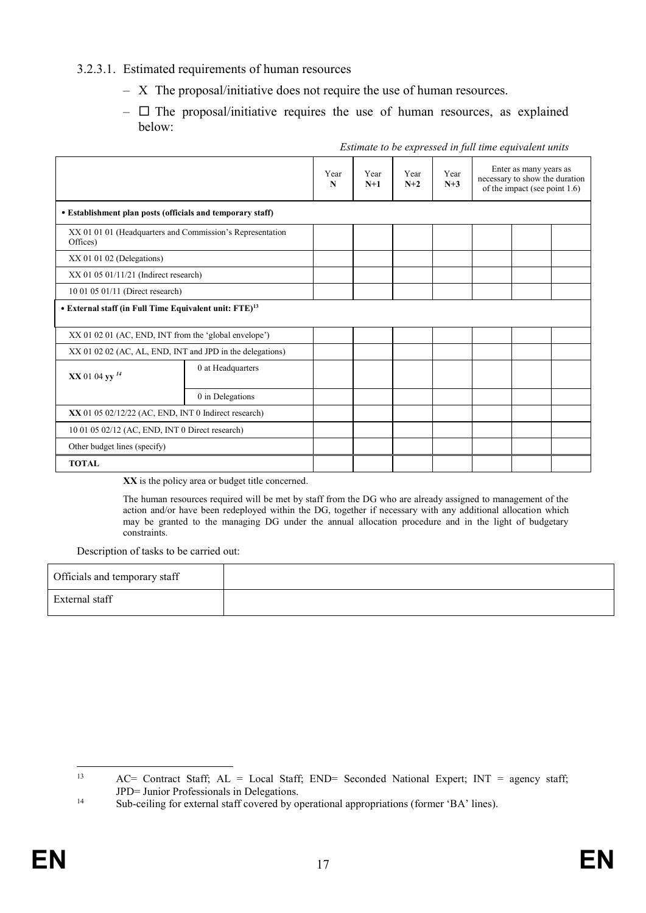#### 3.2.3.1. Estimated requirements of human resources

- X The proposal/initiative does not require the use of human resources.
- $\Box$  The proposal/initiative requires the use of human resources, as explained below:

|                                                                       |                   | Year<br>N | Year<br>$N+1$ | Year<br>$N+2$ | Year<br>$N+3$ | Enter as many years as<br>necessary to show the duration<br>of the impact (see point 1.6) |  |  |
|-----------------------------------------------------------------------|-------------------|-----------|---------------|---------------|---------------|-------------------------------------------------------------------------------------------|--|--|
| • Establishment plan posts (officials and temporary staff)            |                   |           |               |               |               |                                                                                           |  |  |
| XX 01 01 01 (Headquarters and Commission's Representation<br>Offices) |                   |           |               |               |               |                                                                                           |  |  |
| $XX$ 01 01 02 (Delegations)                                           |                   |           |               |               |               |                                                                                           |  |  |
| $XX$ 01 05 01/11/21 (Indirect research)                               |                   |           |               |               |               |                                                                                           |  |  |
| 10 01 05 01/11 (Direct research)                                      |                   |           |               |               |               |                                                                                           |  |  |
| • External staff (in Full Time Equivalent unit: FTE) <sup>13</sup>    |                   |           |               |               |               |                                                                                           |  |  |
| XX 01 02 01 (AC, END, INT from the 'global envelope')                 |                   |           |               |               |               |                                                                                           |  |  |
| XX 01 02 02 (AC, AL, END, INT and JPD in the delegations)             |                   |           |               |               |               |                                                                                           |  |  |
| XX 01 04 yy <sup>14</sup>                                             | 0 at Headquarters |           |               |               |               |                                                                                           |  |  |
|                                                                       | 0 in Delegations  |           |               |               |               |                                                                                           |  |  |
| XX 01 05 02/12/22 (AC, END, INT 0 Indirect research)                  |                   |           |               |               |               |                                                                                           |  |  |
| 10 01 05 02/12 (AC, END, INT 0 Direct research)                       |                   |           |               |               |               |                                                                                           |  |  |
| Other budget lines (specify)                                          |                   |           |               |               |               |                                                                                           |  |  |
| <b>TOTAL</b>                                                          |                   |           |               |               |               |                                                                                           |  |  |

#### *Estimate to be expressed in full time equivalent units*

**XX** is the policy area or budget title concerned.

The human resources required will be met by staff from the DG who are already assigned to management of the action and/or have been redeployed within the DG, together if necessary with any additional allocation which may be granted to the managing DG under the annual allocation procedure and in the light of budgetary constraints.

Description of tasks to be carried out:

| Officials and temporary staff |  |
|-------------------------------|--|
| External staff                |  |

 $13$ AC= Contract Staff; AL = Local Staff; END= Seconded National Expert; INT = agency staff; JPD= Junior Professionals in Delegations.

<sup>&</sup>lt;sup>14</sup> Sub-ceiling for external staff covered by operational appropriations (former 'BA' lines).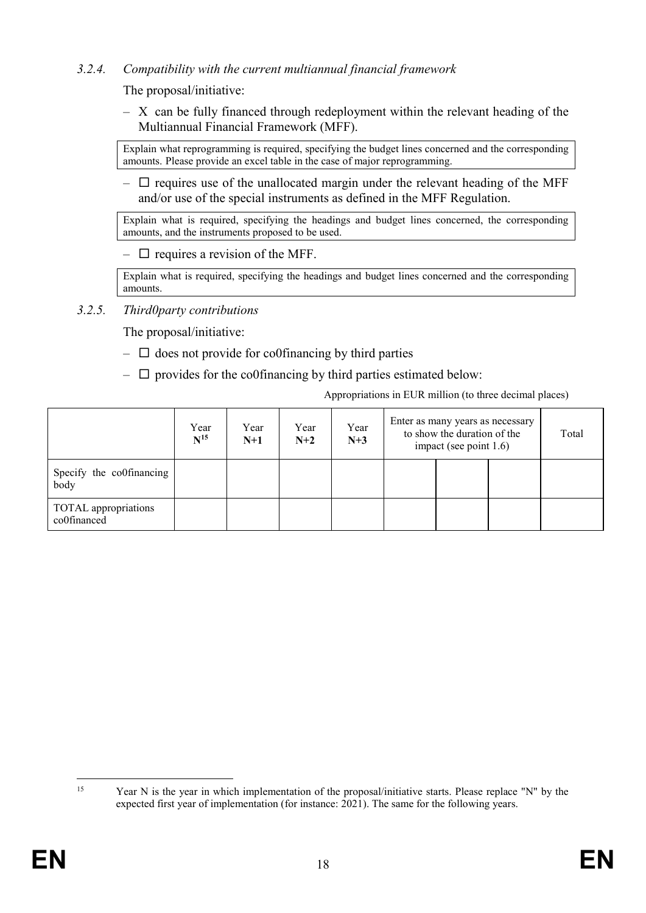## *3.2.4. Compatibility with the current multiannual financial framework*

The proposal/initiative:

– X can be fully financed through redeployment within the relevant heading of the Multiannual Financial Framework (MFF).

Explain what reprogramming is required, specifying the budget lines concerned and the corresponding amounts. Please provide an excel table in the case of major reprogramming.

 $\Box$  requires use of the unallocated margin under the relevant heading of the MFF and/or use of the special instruments as defined in the MFF Regulation.

Explain what is required, specifying the headings and budget lines concerned, the corresponding amounts, and the instruments proposed to be used.

 $\Box$  requires a revision of the MFF.

Explain what is required, specifying the headings and budget lines concerned and the corresponding amounts.

*3.2.5. Third0party contributions* 

The proposal/initiative:

- $\Box$  does not provide for co0financing by third parties
- $\Box$  provides for the co0financing by third parties estimated below:

Appropriations in EUR million (to three decimal places)

|                                     | Year<br>$N^{15}$ | Year<br>$N+1$ | Year<br>$N+2$ | Year<br>$N+3$ | Enter as many years as necessary<br>to show the duration of the<br>impact (see point $1.6$ ) |  |  | Total |
|-------------------------------------|------------------|---------------|---------------|---------------|----------------------------------------------------------------------------------------------|--|--|-------|
| Specify the co0financing<br>body    |                  |               |               |               |                                                                                              |  |  |       |
| TOTAL appropriations<br>co0financed |                  |               |               |               |                                                                                              |  |  |       |

 $15$ 

Year N is the year in which implementation of the proposal/initiative starts. Please replace "N" by the expected first year of implementation (for instance: 2021). The same for the following years.